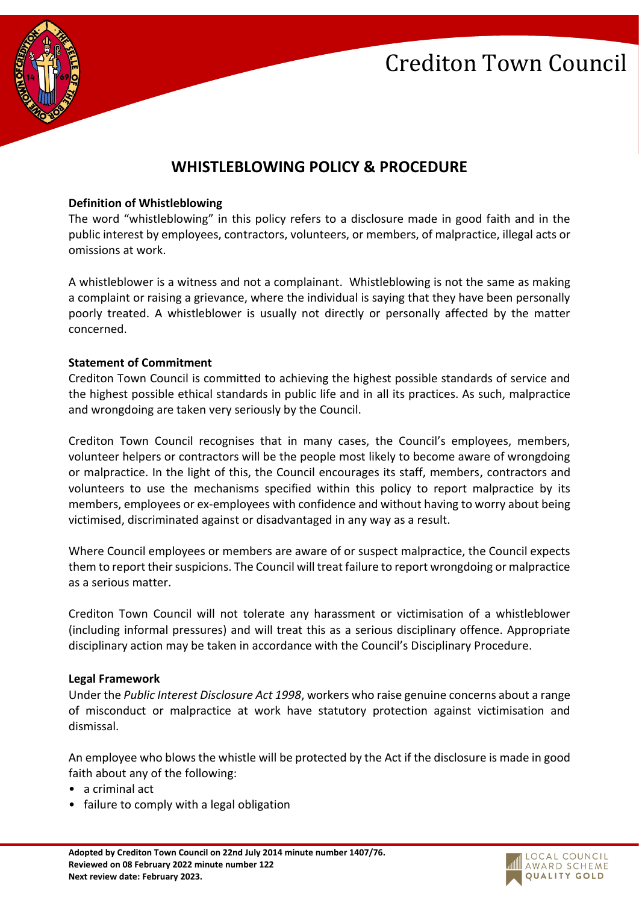

# **WHISTLEBLOWING POLICY & PROCEDURE**

### **Definition of Whistleblowing**

The word "whistleblowing" in this policy refers to a disclosure made in good faith and in the public interest by employees, contractors, volunteers, or members, of malpractice, illegal acts or omissions at work.

A whistleblower is a witness and not a complainant. Whistleblowing is not the same as making a complaint or raising a grievance, where the individual is saying that they have been personally poorly treated. A whistleblower is usually not directly or personally affected by the matter concerned.

#### **Statement of Commitment**

Crediton Town Council is committed to achieving the highest possible standards of service and the highest possible ethical standards in public life and in all its practices. As such, malpractice and wrongdoing are taken very seriously by the Council.

Crediton Town Council recognises that in many cases, the Council's employees, members, volunteer helpers or contractors will be the people most likely to become aware of wrongdoing or malpractice. In the light of this, the Council encourages its staff, members, contractors and volunteers to use the mechanisms specified within this policy to report malpractice by its members, employees or ex‐employees with confidence and without having to worry about being victimised, discriminated against or disadvantaged in any way as a result.

Where Council employees or members are aware of or suspect malpractice, the Council expects them to report their suspicions. The Council will treat failure to report wrongdoing or malpractice as a serious matter.

Crediton Town Council will not tolerate any harassment or victimisation of a whistleblower (including informal pressures) and will treat this as a serious disciplinary offence. Appropriate disciplinary action may be taken in accordance with the Council's Disciplinary Procedure.

#### **Legal Framework**

Under the *Public Interest Disclosure Act 1998*, workers who raise genuine concerns about a range of misconduct or malpractice at work have statutory protection against victimisation and dismissal.

An employee who blows the whistle will be protected by the Act if the disclosure is made in good faith about any of the following:

- a criminal act
- failure to comply with a legal obligation

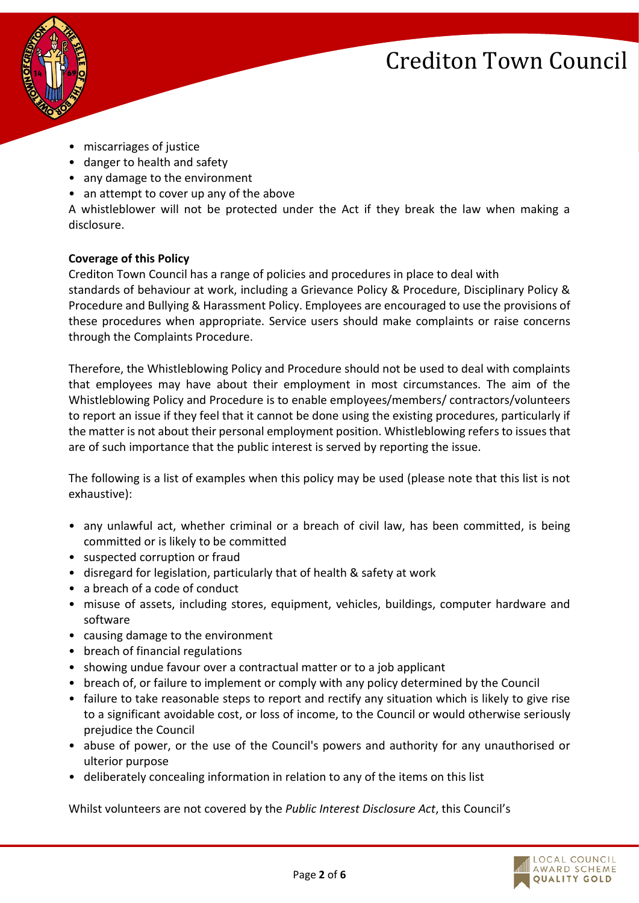

- miscarriages of justice
- danger to health and safety
- any damage to the environment
- an attempt to cover up any of the above

A whistleblower will not be protected under the Act if they break the law when making a disclosure.

## **Coverage of this Policy**

Crediton Town Council has a range of policies and procedures in place to deal with standards of behaviour at work, including a Grievance Policy & Procedure, Disciplinary Policy & Procedure and Bullying & Harassment Policy. Employees are encouraged to use the provisions of these procedures when appropriate. Service users should make complaints or raise concerns through the Complaints Procedure.

Therefore, the Whistleblowing Policy and Procedure should not be used to deal with complaints that employees may have about their employment in most circumstances. The aim of the Whistleblowing Policy and Procedure is to enable employees/members/ contractors/volunteers to report an issue if they feel that it cannot be done using the existing procedures, particularly if the matter is not about their personal employment position. Whistleblowing refers to issues that are of such importance that the public interest is served by reporting the issue.

The following is a list of examples when this policy may be used (please note that this list is not exhaustive):

- any unlawful act, whether criminal or a breach of civil law, has been committed, is being committed or is likely to be committed
- suspected corruption or fraud
- disregard for legislation, particularly that of health & safety at work
- a breach of a code of conduct
- misuse of assets, including stores, equipment, vehicles, buildings, computer hardware and software
- causing damage to the environment
- breach of financial regulations
- showing undue favour over a contractual matter or to a job applicant
- breach of, or failure to implement or comply with any policy determined by the Council
- failure to take reasonable steps to report and rectify any situation which is likely to give rise to a significant avoidable cost, or loss of income, to the Council or would otherwise seriously prejudice the Council
- abuse of power, or the use of the Council's powers and authority for any unauthorised or ulterior purpose
- deliberately concealing information in relation to any of the items on this list

Whilst volunteers are not covered by the *Public Interest Disclosure Act*, this Council's

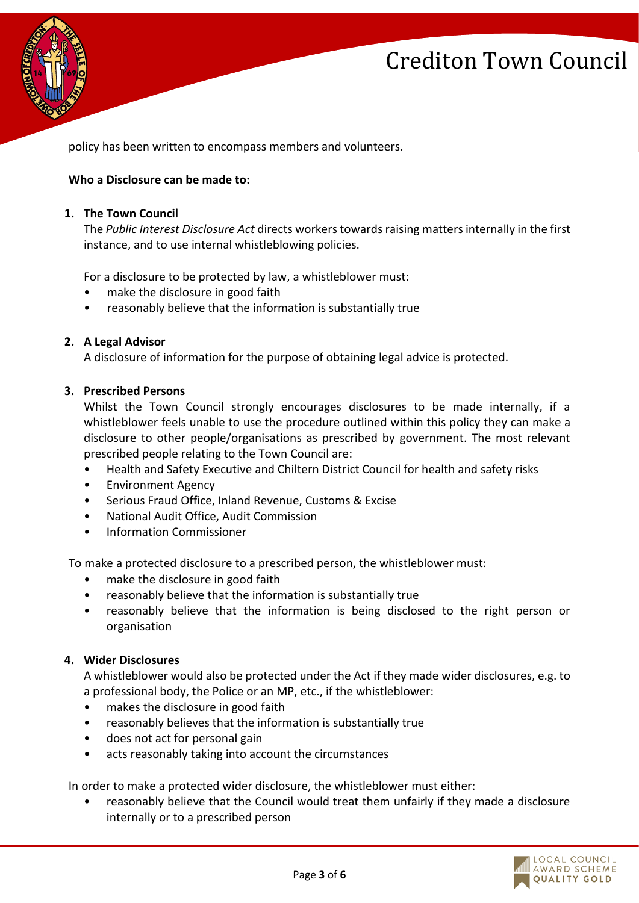

policy has been written to encompass members and volunteers.

## **Who a Disclosure can be made to:**

### **1. The Town Council**

The *Public Interest Disclosure Act* directs workers towards raising matters internally in the first instance, and to use internal whistleblowing policies.

For a disclosure to be protected by law, a whistleblower must:

- make the disclosure in good faith
- reasonably believe that the information is substantially true

## **2. A Legal Advisor**

A disclosure of information for the purpose of obtaining legal advice is protected.

#### **3. Prescribed Persons**

Whilst the Town Council strongly encourages disclosures to be made internally, if a whistleblower feels unable to use the procedure outlined within this policy they can make a disclosure to other people/organisations as prescribed by government. The most relevant prescribed people relating to the Town Council are:

- Health and Safety Executive and Chiltern District Council for health and safety risks
- Environment Agency
- Serious Fraud Office, Inland Revenue, Customs & Excise
- National Audit Office, Audit Commission
- Information Commissioner

To make a protected disclosure to a prescribed person, the whistleblower must:

- make the disclosure in good faith
- reasonably believe that the information is substantially true
- reasonably believe that the information is being disclosed to the right person or organisation

## **4. Wider Disclosures**

A whistleblower would also be protected under the Act if they made wider disclosures, e.g. to a professional body, the Police or an MP, etc., if the whistleblower:

- makes the disclosure in good faith
- reasonably believes that the information is substantially true
- does not act for personal gain
- acts reasonably taking into account the circumstances

In order to make a protected wider disclosure, the whistleblower must either:

• reasonably believe that the Council would treat them unfairly if they made a disclosure internally or to a prescribed person

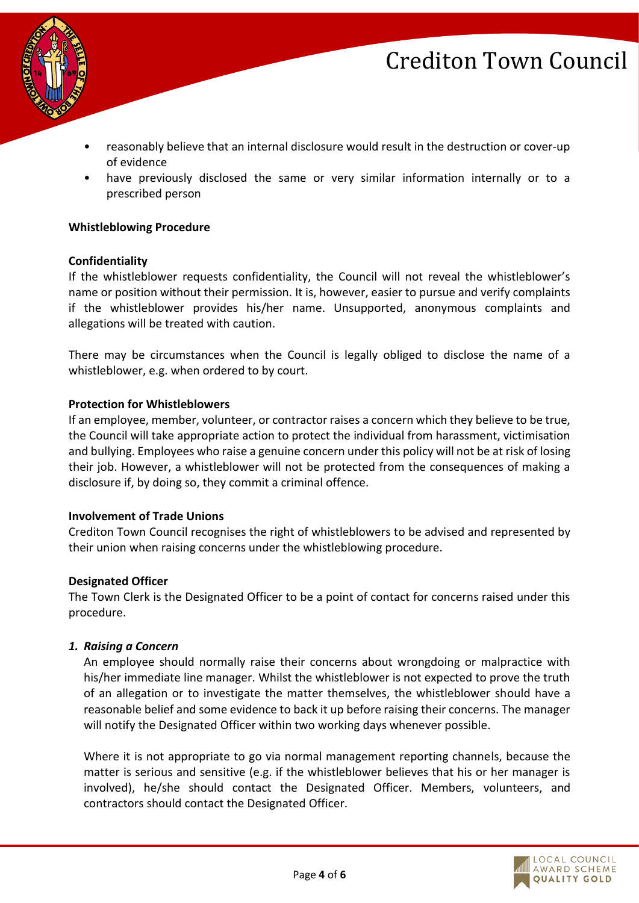



- reasonably believe that an internal disclosure would result in the destruction or cover‐up of evidence
- have previously disclosed the same or very similar information internally or to a prescribed person

#### **Whistleblowing Procedure**

#### **Confidentiality**

If the whistleblower requests confidentiality, the Council will not reveal the whistleblower's name or position without their permission. It is, however, easier to pursue and verify complaints if the whistleblower provides his/her name. Unsupported, anonymous complaints and allegations will be treated with caution.

There may be circumstances when the Council is legally obliged to disclose the name of a whistleblower, e.g. when ordered to by court.

#### **Protection for Whistleblowers**

If an employee, member, volunteer, or contractor raises a concern which they believe to be true, the Council will take appropriate action to protect the individual from harassment, victimisation and bullying. Employees who raise a genuine concern under this policy will not be at risk of losing their job. However, a whistleblower will not be protected from the consequences of making a disclosure if, by doing so, they commit a criminal offence.

#### **Involvement of Trade Unions**

Crediton Town Council recognises the right of whistleblowers to be advised and represented by their union when raising concerns under the whistleblowing procedure.

#### **Designated Officer**

The Town Clerk is the Designated Officer to be a point of contact for concerns raised under this procedure.

#### *1. Raising a Concern*

An employee should normally raise their concerns about wrongdoing or malpractice with his/her immediate line manager. Whilst the whistleblower is not expected to prove the truth of an allegation or to investigate the matter themselves, the whistleblower should have a reasonable belief and some evidence to back it up before raising their concerns. The manager will notify the Designated Officer within two working days whenever possible.

Where it is not appropriate to go via normal management reporting channels, because the matter is serious and sensitive (e.g. if the whistleblower believes that his or her manager is involved), he/she should contact the Designated Officer. Members, volunteers, and contractors should contact the Designated Officer.

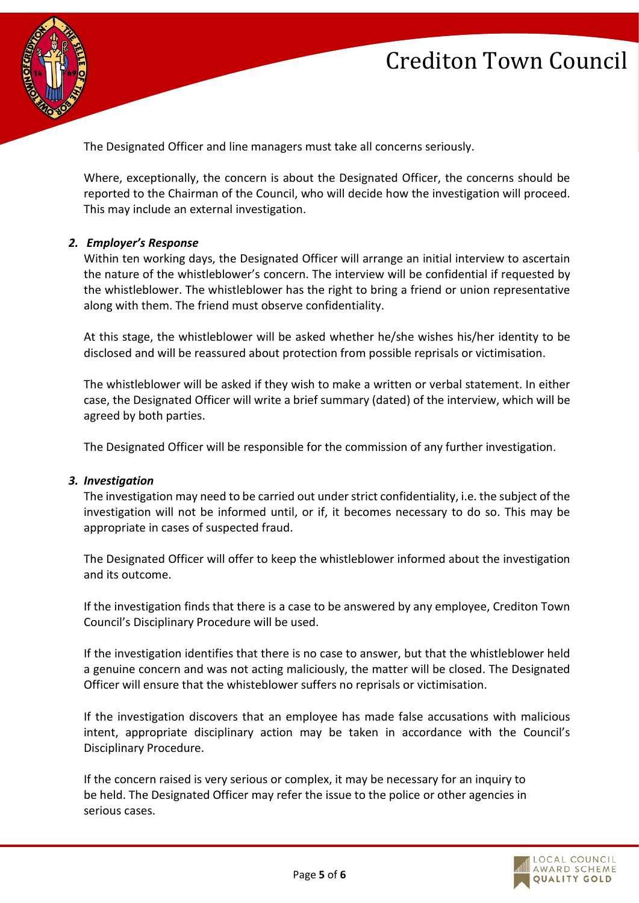

The Designated Officer and line managers must take all concerns seriously.

Where, exceptionally, the concern is about the Designated Officer, the concerns should be reported to the Chairman of the Council, who will decide how the investigation will proceed. This may include an external investigation.

#### *2. Employer's Response*

Within ten working days, the Designated Officer will arrange an initial interview to ascertain the nature of the whistleblower's concern. The interview will be confidential if requested by the whistleblower. The whistleblower has the right to bring a friend or union representative along with them. The friend must observe confidentiality.

At this stage, the whistleblower will be asked whether he/she wishes his/her identity to be disclosed and will be reassured about protection from possible reprisals or victimisation.

The whistleblower will be asked if they wish to make a written or verbal statement. In either case, the Designated Officer will write a brief summary (dated) of the interview, which will be agreed by both parties.

The Designated Officer will be responsible for the commission of any further investigation.

#### *3. Investigation*

The investigation may need to be carried out under strict confidentiality, i.e. the subject of the investigation will not be informed until, or if, it becomes necessary to do so. This may be appropriate in cases of suspected fraud.

The Designated Officer will offer to keep the whistleblower informed about the investigation and its outcome.

If the investigation finds that there is a case to be answered by any employee, Crediton Town Council's Disciplinary Procedure will be used.

If the investigation identifies that there is no case to answer, but that the whistleblower held a genuine concern and was not acting maliciously, the matter will be closed. The Designated Officer will ensure that the whisteblower suffers no reprisals or victimisation.

If the investigation discovers that an employee has made false accusations with malicious intent, appropriate disciplinary action may be taken in accordance with the Council's Disciplinary Procedure.

If the concern raised is very serious or complex, it may be necessary for an inquiry to be held. The Designated Officer may refer the issue to the police or other agencies in serious cases.